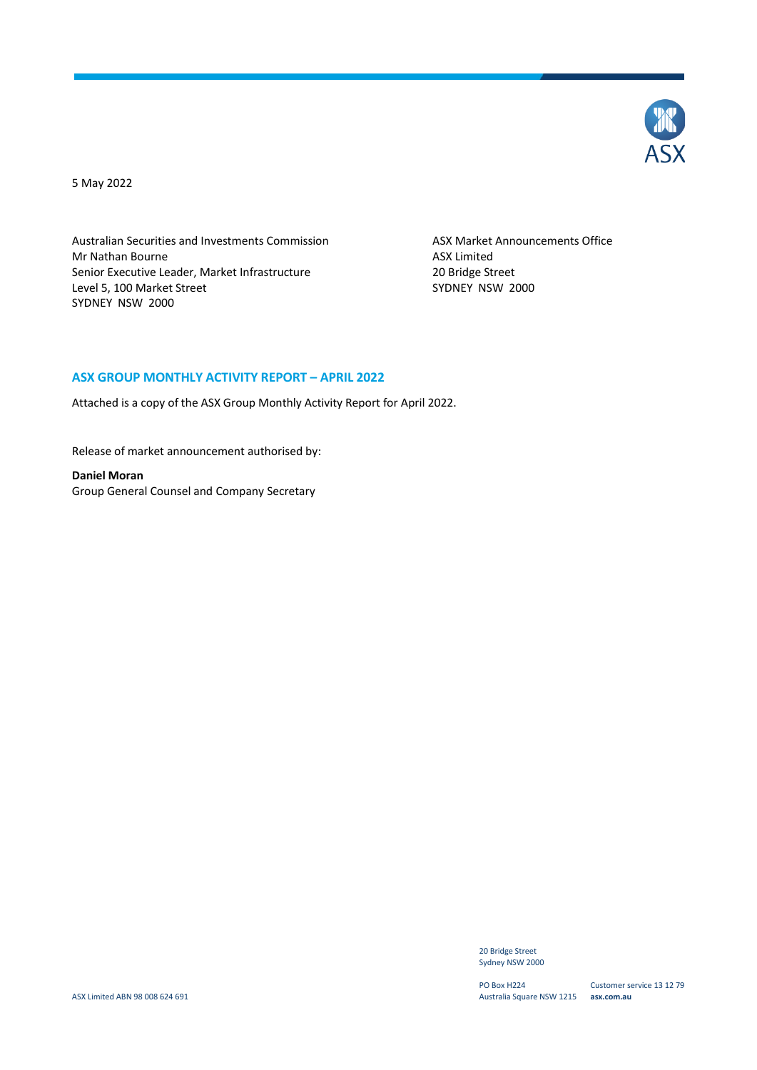

5 May 2022

Australian Securities and Investments Commission Mr Nathan Bourne Senior Executive Leader, Market Infrastructure Level 5, 100 Market Street SYDNEY NSW 2000

ASX Market Announcements Office ASX Limited 20 Bridge Street SYDNEY NSW 2000

#### **ASX GROUP MONTHLY ACTIVITY REPORT – APRIL 2022**

Attached is a copy of the ASX Group Monthly Activity Report for April 2022.

Release of market announcement authorised by:

**Daniel Moran** Group General Counsel and Company Secretary

> 20 Bridge Street Sydney NSW 2000

PO Box H224 Australia Square NSW 1215 **asx.com.au**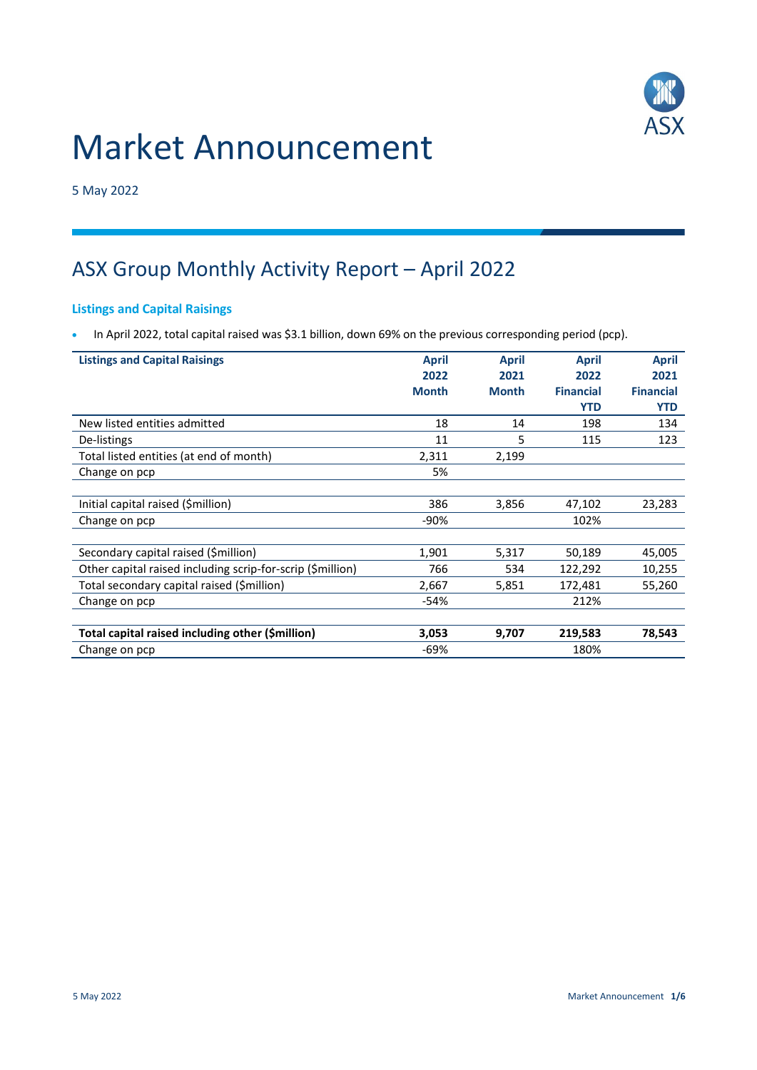

# Market Announcement

5 May 2022

# ASX Group Monthly Activity Report – April 2022

## Listings and Capital Raisings

• In April 2022, total capital raised was \$3.1 billion, down 69% on the previous corresponding period (pcp).

| <b>Listings and Capital Raisings</b>                       | <b>April</b><br>2022 | <b>April</b><br>2021 | <b>April</b><br>2022 | <b>April</b><br>2021 |
|------------------------------------------------------------|----------------------|----------------------|----------------------|----------------------|
|                                                            | <b>Month</b>         | <b>Month</b>         | <b>Financial</b>     | <b>Financial</b>     |
|                                                            |                      |                      | <b>YTD</b>           | <b>YTD</b>           |
| New listed entities admitted                               | 18                   | 14                   | 198                  | 134                  |
| De-listings                                                | 11                   | 5                    | 115                  | 123                  |
| Total listed entities (at end of month)                    | 2,311                | 2,199                |                      |                      |
| Change on pcp                                              | 5%                   |                      |                      |                      |
|                                                            |                      |                      |                      |                      |
| Initial capital raised (\$million)                         | 386                  | 3,856                | 47,102               | 23,283               |
| Change on pcp                                              | $-90%$               |                      | 102%                 |                      |
|                                                            |                      |                      |                      |                      |
| Secondary capital raised (\$million)                       | 1,901                | 5,317                | 50,189               | 45,005               |
| Other capital raised including scrip-for-scrip (\$million) | 766                  | 534                  | 122,292              | 10,255               |
| Total secondary capital raised (\$million)                 | 2,667                | 5,851                | 172,481              | 55,260               |
| Change on pcp                                              | $-54%$               |                      | 212%                 |                      |
|                                                            |                      |                      |                      |                      |
| Total capital raised including other (\$million)           | 3,053                | 9,707                | 219,583              | 78,543               |
| Change on pcp                                              | -69%                 |                      | 180%                 |                      |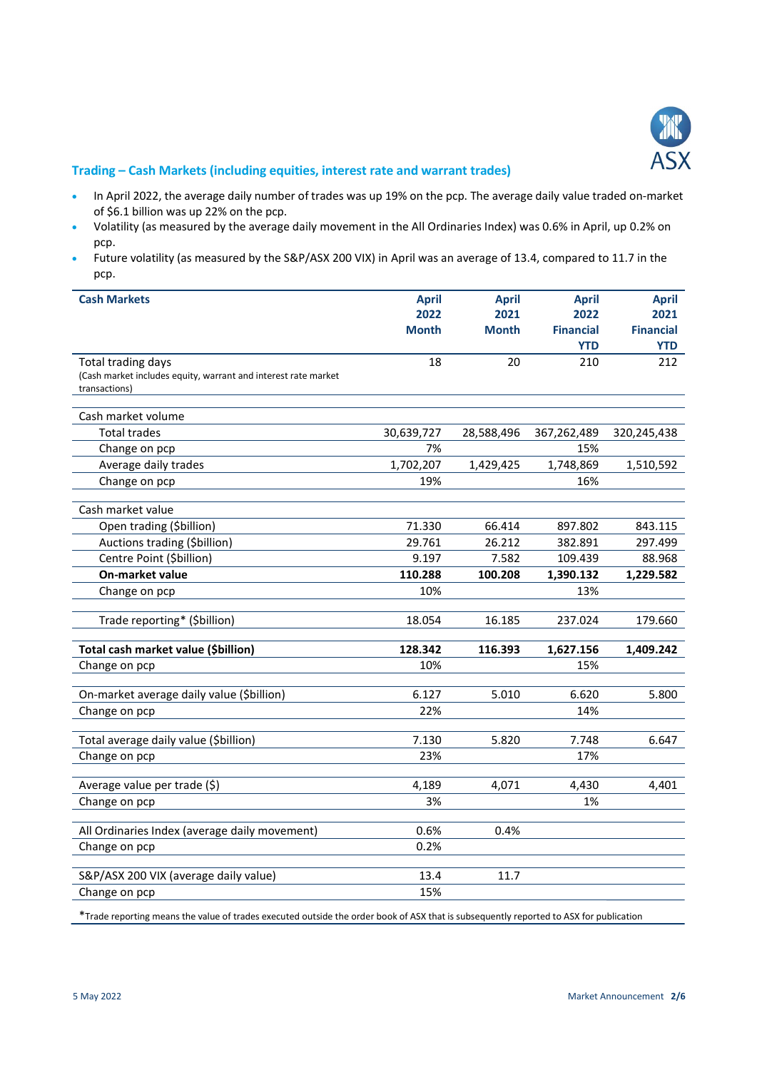

#### Trading – Cash Markets (including equities, interest rate and warrant trades)

- In April 2022, the average daily number of trades was up 19% on the pcp. The average daily value traded on-market of \$6.1 billion was up 22% on the pcp.
- Volatility (as measured by the average daily movement in the All Ordinaries Index) was 0.6% in April, up 0.2% on pcp.
- Future volatility (as measured by the S&P/ASX 200 VIX) in April was an average of 13.4, compared to 11.7 in the pcp.

| <b>Cash Markets</b>                                                             | <b>April</b> | <b>April</b> | <b>April</b>     | <b>April</b>     |
|---------------------------------------------------------------------------------|--------------|--------------|------------------|------------------|
|                                                                                 | 2022         | 2021         | 2022             | 2021             |
|                                                                                 | <b>Month</b> | <b>Month</b> | <b>Financial</b> | <b>Financial</b> |
|                                                                                 |              |              | <b>YTD</b>       | <b>YTD</b>       |
| Total trading days                                                              | 18           | 20           | 210              | 212              |
| (Cash market includes equity, warrant and interest rate market<br>transactions) |              |              |                  |                  |
|                                                                                 |              |              |                  |                  |
| Cash market volume                                                              |              |              |                  |                  |
| <b>Total trades</b>                                                             | 30,639,727   | 28,588,496   | 367,262,489      | 320,245,438      |
| Change on pcp                                                                   | 7%           |              | 15%              |                  |
| Average daily trades                                                            | 1,702,207    | 1,429,425    | 1,748,869        | 1,510,592        |
| Change on pcp                                                                   | 19%          |              | 16%              |                  |
|                                                                                 |              |              |                  |                  |
| Cash market value                                                               |              |              |                  |                  |
| Open trading (\$billion)                                                        | 71.330       | 66.414       | 897.802          | 843.115          |
| Auctions trading (\$billion)                                                    | 29.761       | 26.212       | 382.891          | 297.499          |
| Centre Point (\$billion)                                                        | 9.197        | 7.582        | 109.439          | 88.968           |
| On-market value                                                                 | 110.288      | 100.208      | 1,390.132        | 1,229.582        |
| Change on pcp                                                                   | 10%          |              | 13%              |                  |
| Trade reporting* (\$billion)                                                    | 18.054       | 16.185       | 237.024          | 179.660          |
|                                                                                 |              |              |                  |                  |
| Total cash market value (\$billion)                                             | 128.342      | 116.393      | 1,627.156        | 1,409.242        |
| Change on pcp                                                                   | 10%          |              | 15%              |                  |
|                                                                                 |              |              |                  |                  |
| On-market average daily value (\$billion)                                       | 6.127        | 5.010        | 6.620            | 5.800            |
| Change on pcp                                                                   | 22%          |              | 14%              |                  |
|                                                                                 |              |              |                  |                  |
| Total average daily value (\$billion)                                           | 7.130        | 5.820        | 7.748            | 6.647            |
| Change on pcp                                                                   | 23%          |              | 17%              |                  |
|                                                                                 |              |              |                  |                  |
| Average value per trade (\$)                                                    | 4,189        | 4,071        | 4,430            | 4,401            |
| Change on pcp                                                                   | 3%           |              | 1%               |                  |
| All Ordinaries Index (average daily movement)                                   | 0.6%         | 0.4%         |                  |                  |
| Change on pcp                                                                   | 0.2%         |              |                  |                  |
|                                                                                 |              |              |                  |                  |
| S&P/ASX 200 VIX (average daily value)                                           | 13.4         | 11.7         |                  |                  |
| Change on pcp                                                                   | 15%          |              |                  |                  |

\*Trade reporting means the value of trades executed outside the order book of ASX that is subsequently reported to ASX for publication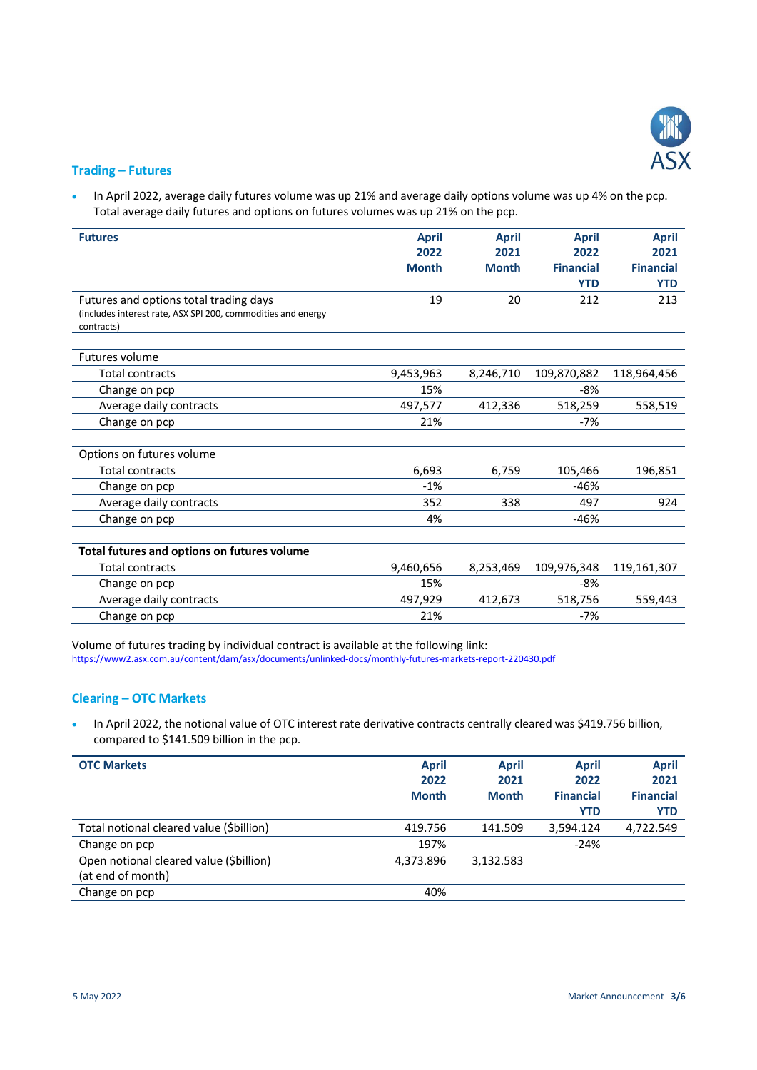

#### Trading – Futures

• In April 2022, average daily futures volume was up 21% and average daily options volume was up 4% on the pcp. Total average daily futures and options on futures volumes was up 21% on the pcp.

| <b>Futures</b>                                                             | <b>April</b> | <b>April</b> | <b>April</b>     | <b>April</b>     |
|----------------------------------------------------------------------------|--------------|--------------|------------------|------------------|
|                                                                            | 2022         | 2021         | 2022             | 2021             |
|                                                                            | <b>Month</b> | <b>Month</b> | <b>Financial</b> | <b>Financial</b> |
|                                                                            |              |              | <b>YTD</b>       | <b>YTD</b>       |
| Futures and options total trading days                                     | 19           | 20           | 212              | 213              |
| (includes interest rate, ASX SPI 200, commodities and energy<br>contracts) |              |              |                  |                  |
| Futures volume                                                             |              |              |                  |                  |
| <b>Total contracts</b>                                                     | 9,453,963    | 8,246,710    | 109,870,882      | 118,964,456      |
| Change on pcp                                                              | 15%          |              | $-8%$            |                  |
| Average daily contracts                                                    | 497,577      | 412,336      | 518,259          | 558,519          |
| Change on pcp                                                              | 21%          |              | $-7%$            |                  |
|                                                                            |              |              |                  |                  |
| Options on futures volume                                                  |              |              |                  |                  |
| <b>Total contracts</b>                                                     | 6,693        | 6,759        | 105,466          | 196,851          |
| Change on pcp                                                              | $-1%$        |              | $-46%$           |                  |
| Average daily contracts                                                    | 352          | 338          | 497              | 924              |
| Change on pcp                                                              | 4%           |              | -46%             |                  |
|                                                                            |              |              |                  |                  |
| Total futures and options on futures volume                                |              |              |                  |                  |
| <b>Total contracts</b>                                                     | 9,460,656    | 8,253,469    | 109,976,348      | 119,161,307      |
| Change on pcp                                                              | 15%          |              | -8%              |                  |
| Average daily contracts                                                    | 497,929      | 412,673      | 518,756          | 559,443          |
| Change on pcp                                                              | 21%          |              | $-7%$            |                  |

Volume of futures trading by individual contract is available at the following link: https://www2.asx.com.au/content/dam/asx/documents/unlinked-docs/monthly-futures-markets-report-220430.pdf

### Clearing – OTC Markets

 In April 2022, the notional value of OTC interest rate derivative contracts centrally cleared was \$419.756 billion, compared to \$141.509 billion in the pcp.

| <b>OTC Markets</b>                                           | <b>April</b><br>2022<br><b>Month</b> | <b>April</b><br>2021<br><b>Month</b> | <b>April</b><br>2022<br><b>Financial</b><br><b>YTD</b> | <b>April</b><br>2021<br><b>Financial</b><br><b>YTD</b> |
|--------------------------------------------------------------|--------------------------------------|--------------------------------------|--------------------------------------------------------|--------------------------------------------------------|
| Total notional cleared value (\$billion)                     | 419.756                              | 141.509                              | 3,594.124                                              | 4,722.549                                              |
| Change on pcp                                                | 197%                                 |                                      | $-24%$                                                 |                                                        |
| Open notional cleared value (\$billion)<br>(at end of month) | 4,373.896                            | 3,132.583                            |                                                        |                                                        |
| Change on pcp                                                | 40%                                  |                                      |                                                        |                                                        |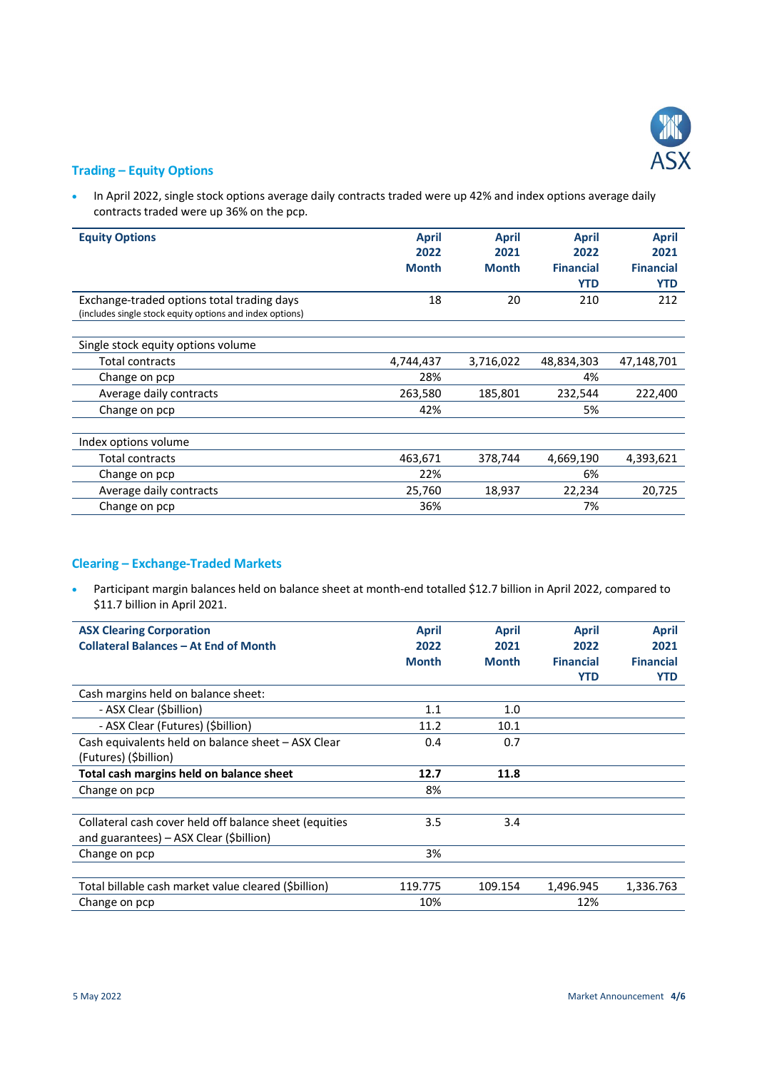

#### Trading – Equity Options

• In April 2022, single stock options average daily contracts traded were up 42% and index options average daily contracts traded were up 36% on the pcp.

| <b>Equity Options</b>                                    | <b>April</b> | <b>April</b> | <b>April</b>     | <b>April</b>     |
|----------------------------------------------------------|--------------|--------------|------------------|------------------|
|                                                          | 2022         | 2021         | 2022             | 2021             |
|                                                          | <b>Month</b> | <b>Month</b> | <b>Financial</b> | <b>Financial</b> |
|                                                          |              |              | <b>YTD</b>       | <b>YTD</b>       |
| Exchange-traded options total trading days               | 18           | 20           | 210              | 212              |
| (includes single stock equity options and index options) |              |              |                  |                  |
|                                                          |              |              |                  |                  |
| Single stock equity options volume                       |              |              |                  |                  |
| Total contracts                                          | 4,744,437    | 3,716,022    | 48,834,303       | 47,148,701       |
| Change on pcp                                            | 28%          |              | 4%               |                  |
| Average daily contracts                                  | 263,580      | 185,801      | 232,544          | 222,400          |
| Change on pcp                                            | 42%          |              | 5%               |                  |
|                                                          |              |              |                  |                  |
| Index options volume                                     |              |              |                  |                  |
| Total contracts                                          | 463,671      | 378,744      | 4,669,190        | 4,393,621        |
| Change on pcp                                            | 22%          |              | 6%               |                  |
| Average daily contracts                                  | 25,760       | 18,937       | 22,234           | 20,725           |
| Change on pcp                                            | 36%          |              | 7%               |                  |

# Clearing – Exchange-Traded Markets

 Participant margin balances held on balance sheet at month-end totalled \$12.7 billion in April 2022, compared to \$11.7 billion in April 2021.

| <b>ASX Clearing Corporation</b>                        | <b>April</b> | <b>April</b> | <b>April</b>     | <b>April</b>     |
|--------------------------------------------------------|--------------|--------------|------------------|------------------|
| <b>Collateral Balances - At End of Month</b>           | 2022         | 2021         | 2022             | 2021             |
|                                                        | <b>Month</b> | <b>Month</b> | <b>Financial</b> | <b>Financial</b> |
|                                                        |              |              |                  |                  |
|                                                        |              |              | <b>YTD</b>       | <b>YTD</b>       |
| Cash margins held on balance sheet:                    |              |              |                  |                  |
| - ASX Clear (\$billion)                                | 1.1          | 1.0          |                  |                  |
| - ASX Clear (Futures) (Sbillion)                       | 11.2         | 10.1         |                  |                  |
| Cash equivalents held on balance sheet - ASX Clear     | 0.4          | 0.7          |                  |                  |
| (Futures) (\$billion)                                  |              |              |                  |                  |
| Total cash margins held on balance sheet               | 12.7         | 11.8         |                  |                  |
| Change on pcp                                          | 8%           |              |                  |                  |
|                                                        |              |              |                  |                  |
| Collateral cash cover held off balance sheet (equities | 3.5          | 3.4          |                  |                  |
| and guarantees) – ASX Clear (\$billion)                |              |              |                  |                  |
| Change on pcp                                          | 3%           |              |                  |                  |
|                                                        |              |              |                  |                  |
| Total billable cash market value cleared (Sbillion)    | 119.775      | 109.154      | 1,496.945        | 1,336.763        |
| Change on pcp                                          | 10%          |              | 12%              |                  |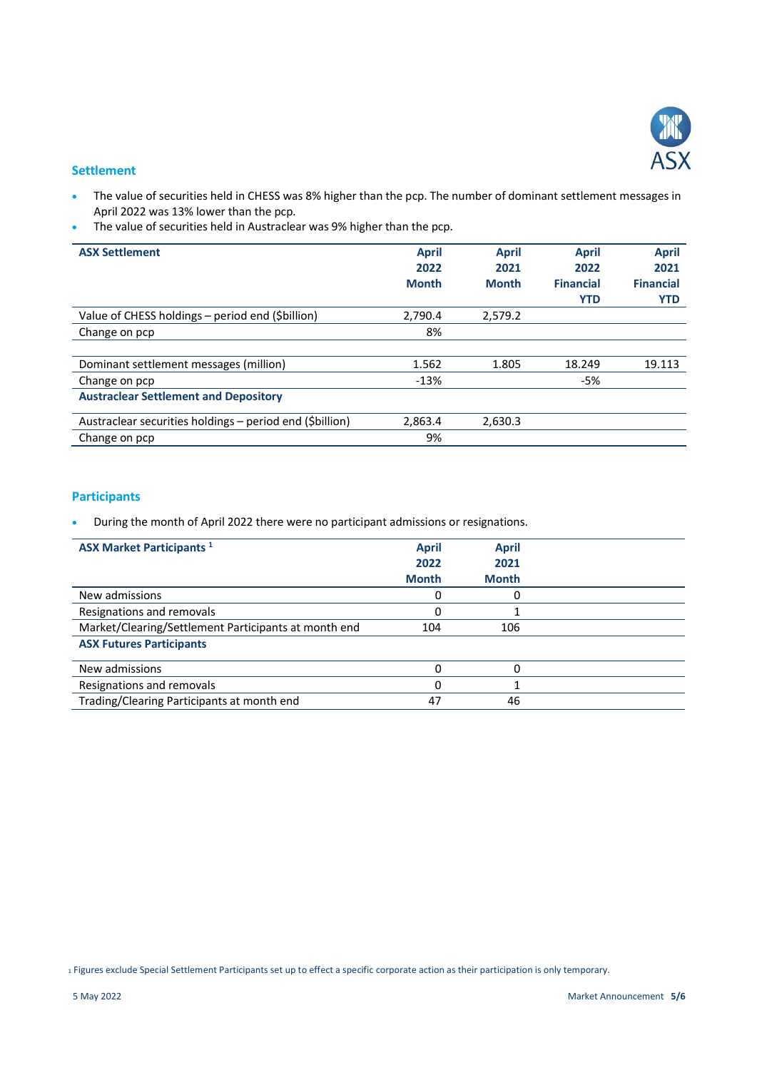

#### **Settlement**

- The value of securities held in CHESS was 8% higher than the pcp. The number of dominant settlement messages in April 2022 was 13% lower than the pcp.
- The value of securities held in Austraclear was 9% higher than the pcp.

| <b>ASX Settlement</b>                                   | <b>April</b> | <b>April</b> | <b>April</b>     | <b>April</b>     |
|---------------------------------------------------------|--------------|--------------|------------------|------------------|
|                                                         | 2022         | 2021         | 2022             | 2021             |
|                                                         | <b>Month</b> | <b>Month</b> | <b>Financial</b> | <b>Financial</b> |
|                                                         |              |              | <b>YTD</b>       | <b>YTD</b>       |
| Value of CHESS holdings - period end (\$billion)        | 2,790.4      | 2,579.2      |                  |                  |
| Change on pcp                                           | 8%           |              |                  |                  |
|                                                         |              |              |                  |                  |
| Dominant settlement messages (million)                  | 1.562        | 1.805        | 18.249           | 19.113           |
| Change on pcp                                           | $-13%$       |              | -5%              |                  |
| <b>Austraclear Settlement and Depository</b>            |              |              |                  |                  |
| Austraclear securities holdings – period end (Sbillion) | 2,863.4      | 2,630.3      |                  |                  |
| Change on pcp                                           | 9%           |              |                  |                  |

# Participants

During the month of April 2022 there were no participant admissions or resignations.

| <b>ASX Market Participants 1</b>                     | <b>April</b><br>2022<br><b>Month</b> | <b>April</b><br>2021<br><b>Month</b> |  |
|------------------------------------------------------|--------------------------------------|--------------------------------------|--|
| New admissions                                       | 0                                    | O                                    |  |
| Resignations and removals                            | O                                    |                                      |  |
| Market/Clearing/Settlement Participants at month end | 104                                  | 106                                  |  |
| <b>ASX Futures Participants</b>                      |                                      |                                      |  |
| New admissions                                       | O                                    | 0                                    |  |
| Resignations and removals                            | 0                                    |                                      |  |
| Trading/Clearing Participants at month end           | 47                                   | 46                                   |  |

1 Figures exclude Special Settlement Participants set up to effect a specific corporate action as their participation is only temporary.